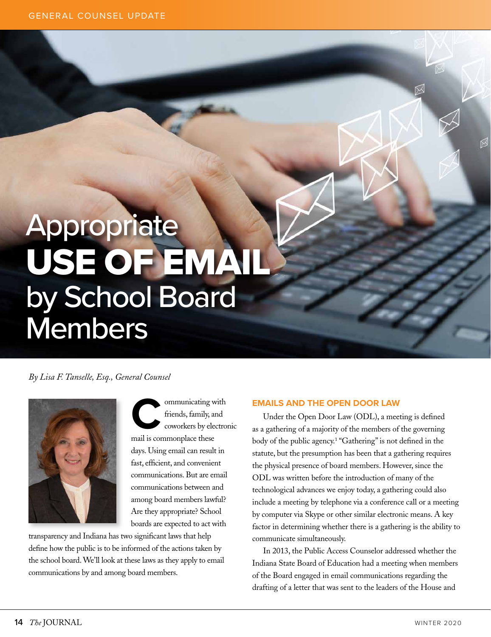# Appropriate USE OF EMAIL by School Board **Members**

*By Lisa F. Tanselle, Esq., General Counsel*



communicating with<br>
Friends, family, and<br>
coworkers by electron friends, family, and coworkers by electronic mail is commonplace these days. Using email can result in fast, efficient, and convenient communications. But are email communications between and among board members lawful? Are they appropriate? School boards are expected to act with

transparency and Indiana has two significant laws that help define how the public is to be informed of the actions taken by the school board. We'll look at these laws as they apply to email communications by and among board members.

## **EMAILS AND THE OPEN DOOR LAW**

Under the Open Door Law (ODL), a meeting is defined as a gathering of a majority of the members of the governing body of the public agency.<sup>1</sup> "Gathering" is not defined in the statute, but the presumption has been that a gathering requires the physical presence of board members. However, since the ODL was written before the introduction of many of the technological advances we enjoy today, a gathering could also include a meeting by telephone via a conference call or a meeting by computer via Skype or other similar electronic means. A key factor in determining whether there is a gathering is the ability to communicate simultaneously.

In 2013, the Public Access Counselor addressed whether the Indiana State Board of Education had a meeting when members of the Board engaged in email communications regarding the drafting of a letter that was sent to the leaders of the House and